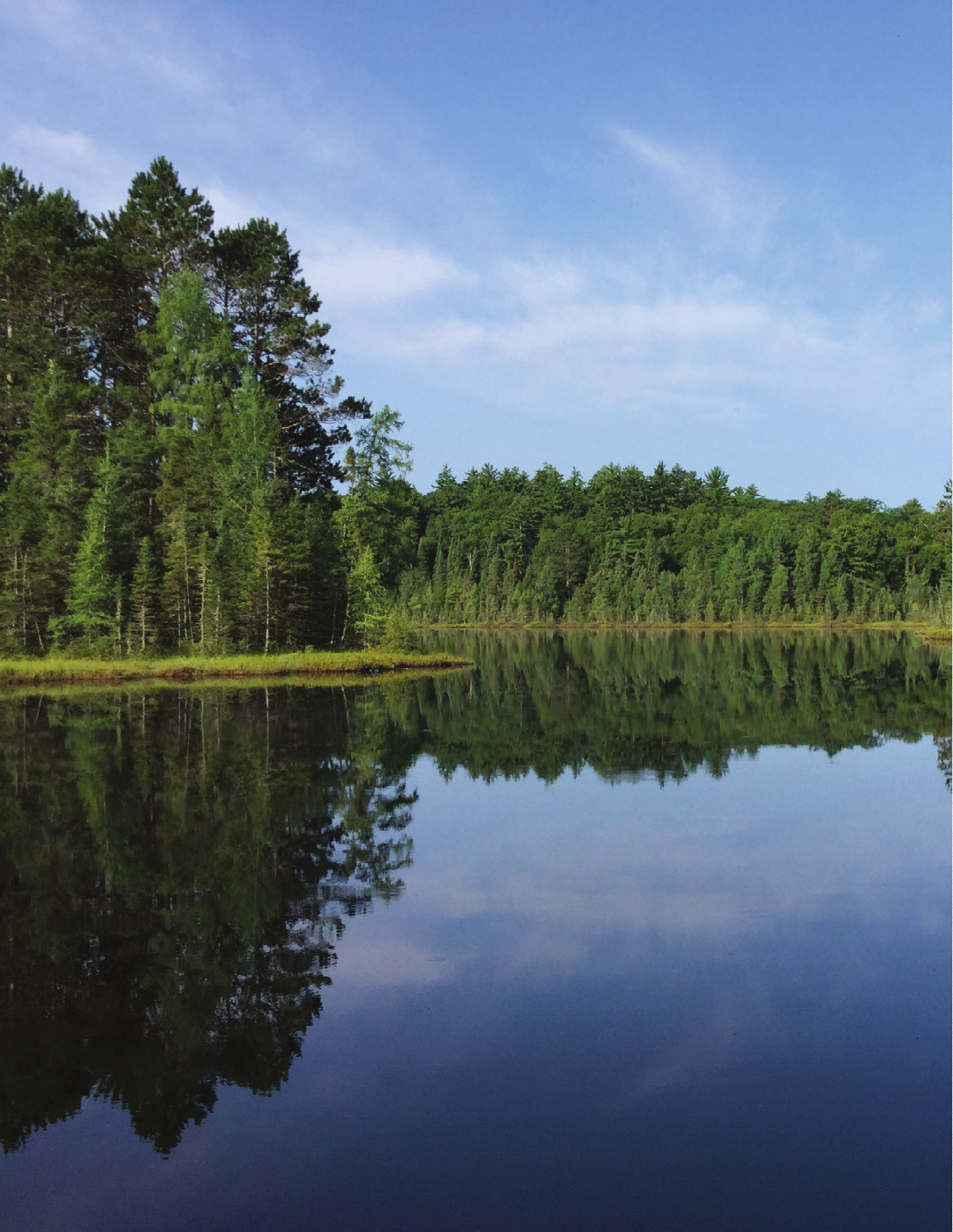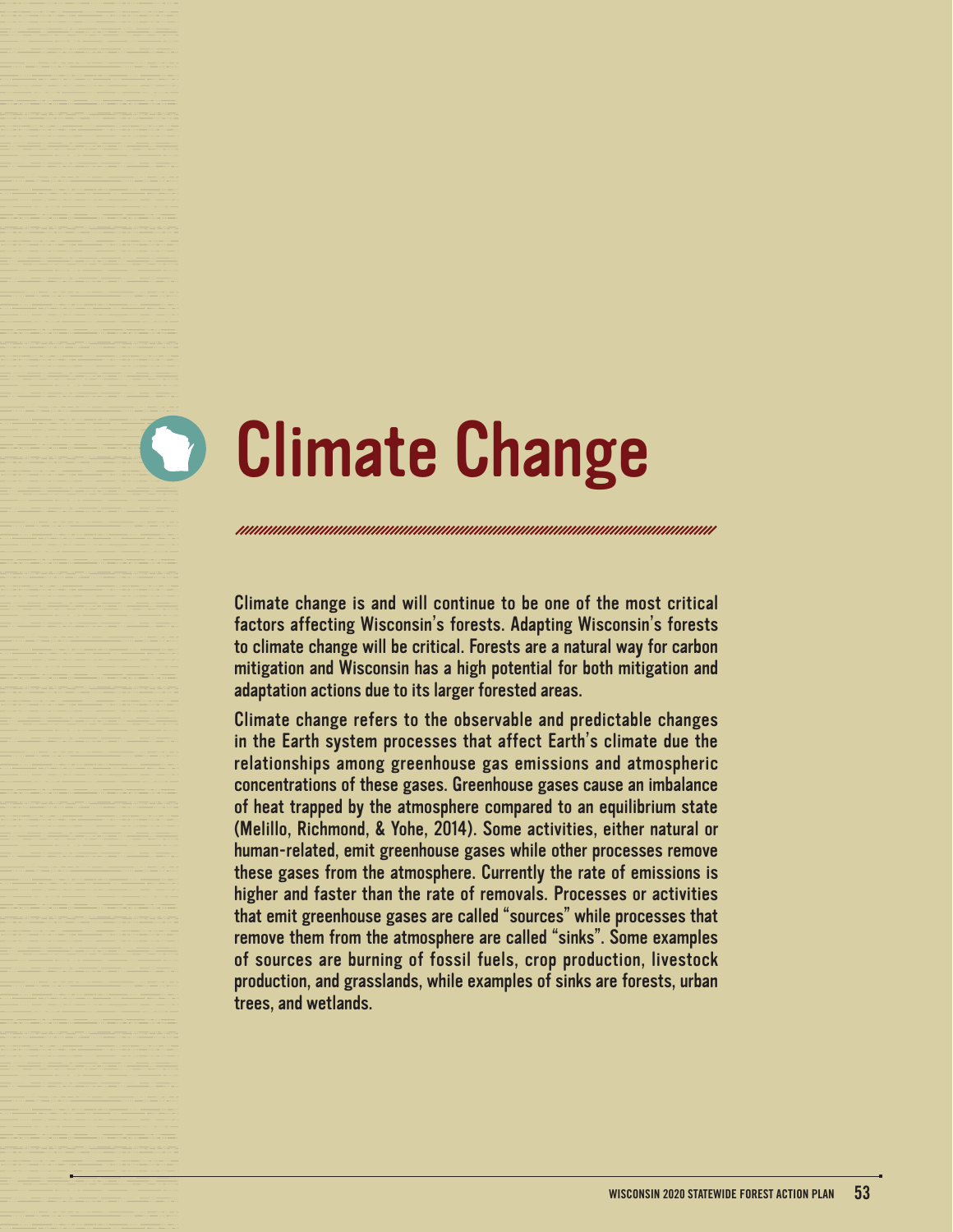# **CD** Climate Change

Climate change is and will continue to be one of the most critical factors affecting Wisconsin's forests. Adapting Wisconsin's forests to climate change will be critical. Forests are a natural way for carbon mitigation and Wisconsin has a high potential for both mitigation and adaptation actions due to its larger forested areas.

Climate change refers to the observable and predictable changes in the Earth system processes that affect Earth's climate due the relationships among greenhouse gas emissions and atmospheric concentrations of these gases. Greenhouse gases cause an imbalance of heat trapped by the atmosphere compared to an equilibrium state (Melillo, Richmond, & Yohe, 2014). Some activities, either natural or human-related, emit greenhouse gases while other processes remove these gases from the atmosphere. Currently the rate of emissions is higher and faster than the rate of removals. Processes or activities that emit greenhouse gases are called "sources" while processes that remove them from the atmosphere are called "sinks". Some examples of sources are burning of fossil fuels, crop production, livestock production, and grasslands, while examples of sinks are forests, urban trees, and wetlands.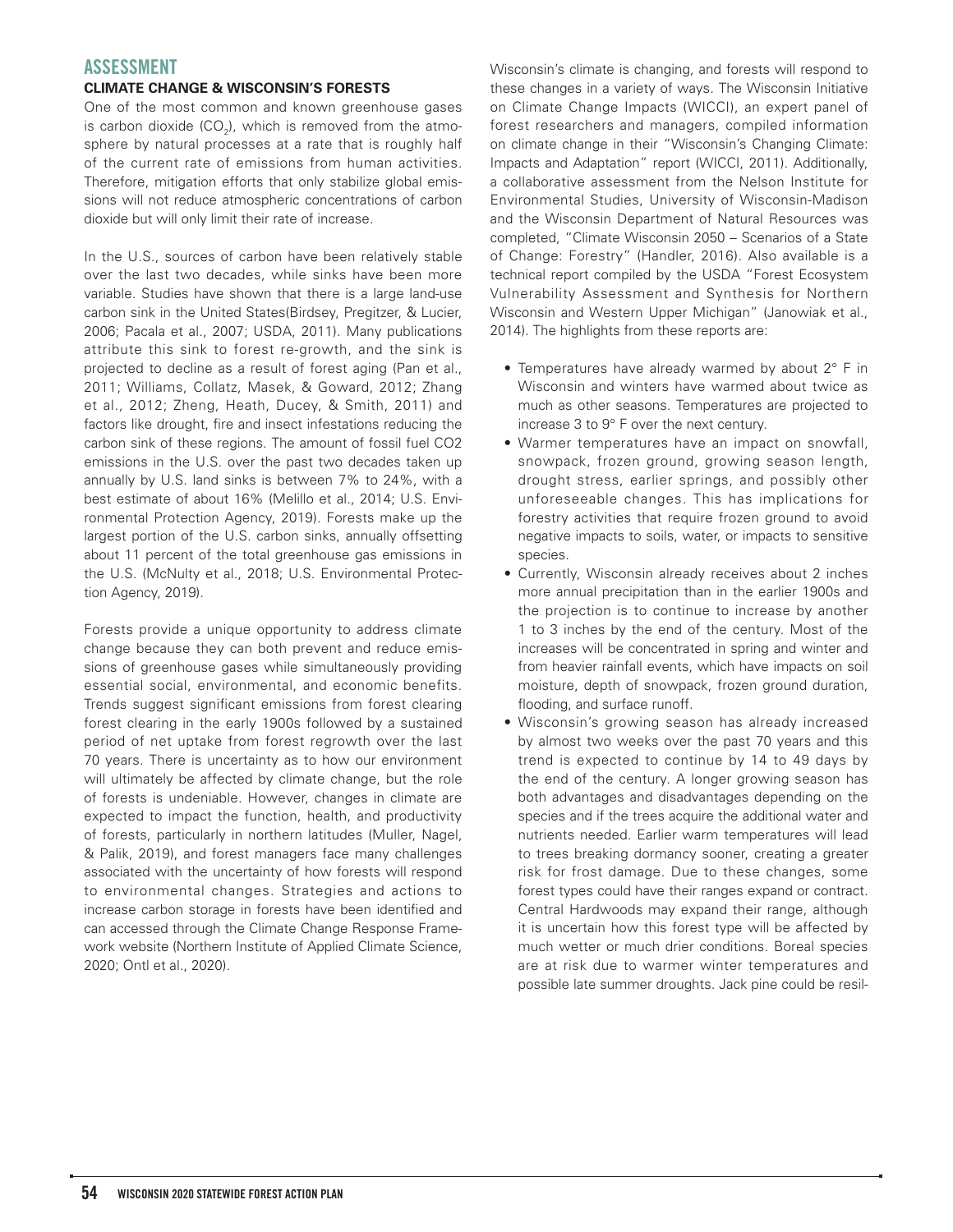## **ASSESSMENT**

#### **CLIMATE CHANGE & WISCONSIN'S FORESTS**

One of the most common and known greenhouse gases is carbon dioxide (CO<sub>2</sub>), which is removed from the atmosphere by natural processes at a rate that is roughly half of the current rate of emissions from human activities. Therefore, mitigation efforts that only stabilize global emissions will not reduce atmospheric concentrations of carbon dioxide but will only limit their rate of increase.

In the U.S., sources of carbon have been relatively stable over the last two decades, while sinks have been more variable. Studies have shown that there is a large land-use carbon sink in the United States(Birdsey, Pregitzer, & Lucier, 2006; Pacala et al., 2007; USDA, 2011). Many publications attribute this sink to forest re-growth, and the sink is projected to decline as a result of forest aging (Pan et al., 2011; Williams, Collatz, Masek, & Goward, 2012; Zhang et al., 2012; Zheng, Heath, Ducey, & Smith, 2011) and factors like drought, fire and insect infestations reducing the carbon sink of these regions. The amount of fossil fuel CO2 emissions in the U.S. over the past two decades taken up annually by U.S. land sinks is between 7% to 24%, with a best estimate of about 16% (Melillo et al., 2014; U.S. Environmental Protection Agency, 2019). Forests make up the largest portion of the U.S. carbon sinks, annually offsetting about 11 percent of the total greenhouse gas emissions in the U.S. (McNulty et al., 2018; U.S. Environmental Protection Agency, 2019).

Forests provide a unique opportunity to address climate change because they can both prevent and reduce emissions of greenhouse gases while simultaneously providing essential social, environmental, and economic benefits. Trends suggest significant emissions from forest clearing forest clearing in the early 1900s followed by a sustained period of net uptake from forest regrowth over the last 70 years. There is uncertainty as to how our environment will ultimately be affected by climate change, but the role of forests is undeniable. However, changes in climate are expected to impact the function, health, and productivity of forests, particularly in northern latitudes (Muller, Nagel, & Palik, 2019), and forest managers face many challenges associated with the uncertainty of how forests will respond to environmental changes. Strategies and actions to increase carbon storage in forests have been identified and can accessed through the Climate Change Response Framework website (Northern Institute of Applied Climate Science, 2020; Ontl et al., 2020).

Wisconsin's climate is changing, and forests will respond to these changes in a variety of ways. The Wisconsin Initiative on Climate Change Impacts (WICCI), an expert panel of forest researchers and managers, compiled information on climate change in their "Wisconsin's Changing Climate: Impacts and Adaptation" report (WICCI, 2011). Additionally, a collaborative assessment from the Nelson Institute for Environmental Studies, University of Wisconsin-Madison and the Wisconsin Department of Natural Resources was completed, "Climate Wisconsin 2050 – Scenarios of a State of Change: Forestry" (Handler, 2016). Also available is a technical report compiled by the USDA "Forest Ecosystem Vulnerability Assessment and Synthesis for Northern Wisconsin and Western Upper Michigan" (Janowiak et al., 2014). The highlights from these reports are:

- Temperatures have already warmed by about 2° F in Wisconsin and winters have warmed about twice as much as other seasons. Temperatures are projected to increase 3 to 9° F over the next century.
- Warmer temperatures have an impact on snowfall, snowpack, frozen ground, growing season length, drought stress, earlier springs, and possibly other unforeseeable changes. This has implications for forestry activities that require frozen ground to avoid negative impacts to soils, water, or impacts to sensitive species.
- Currently, Wisconsin already receives about 2 inches more annual precipitation than in the earlier 1900s and the projection is to continue to increase by another 1 to 3 inches by the end of the century. Most of the increases will be concentrated in spring and winter and from heavier rainfall events, which have impacts on soil moisture, depth of snowpack, frozen ground duration, flooding, and surface runoff.
- Wisconsin's growing season has already increased by almost two weeks over the past 70 years and this trend is expected to continue by 14 to 49 days by the end of the century. A longer growing season has both advantages and disadvantages depending on the species and if the trees acquire the additional water and nutrients needed. Earlier warm temperatures will lead to trees breaking dormancy sooner, creating a greater risk for frost damage. Due to these changes, some forest types could have their ranges expand or contract. Central Hardwoods may expand their range, although it is uncertain how this forest type will be affected by much wetter or much drier conditions. Boreal species are at risk due to warmer winter temperatures and possible late summer droughts. Jack pine could be resil-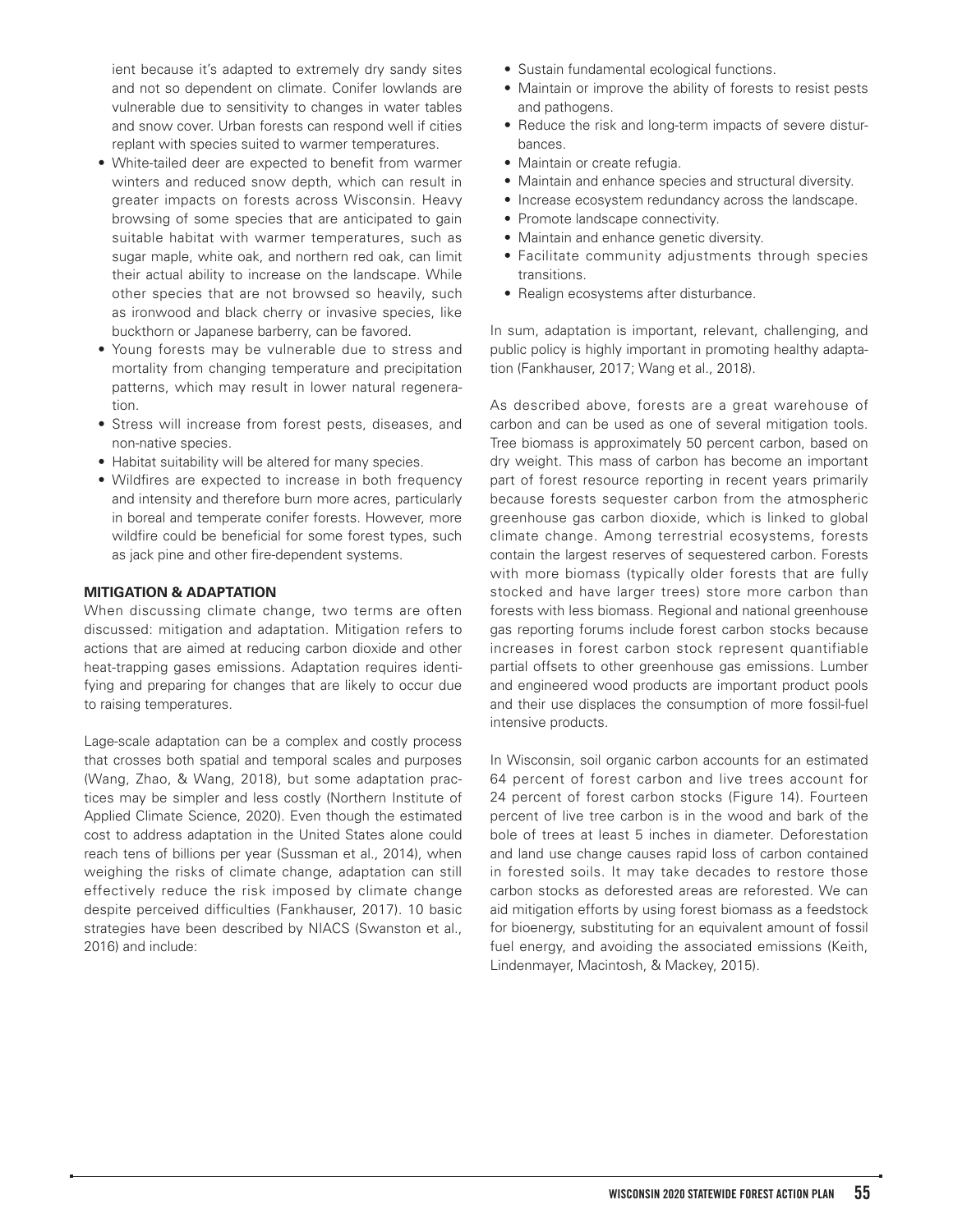ient because it's adapted to extremely dry sandy sites and not so dependent on climate. Conifer lowlands are vulnerable due to sensitivity to changes in water tables and snow cover. Urban forests can respond well if cities replant with species suited to warmer temperatures.

- White-tailed deer are expected to benefit from warmer winters and reduced snow depth, which can result in greater impacts on forests across Wisconsin. Heavy browsing of some species that are anticipated to gain suitable habitat with warmer temperatures, such as sugar maple, white oak, and northern red oak, can limit their actual ability to increase on the landscape. While other species that are not browsed so heavily, such as ironwood and black cherry or invasive species, like buckthorn or Japanese barberry, can be favored.
- Young forests may be vulnerable due to stress and mortality from changing temperature and precipitation patterns, which may result in lower natural regeneration.
- Stress will increase from forest pests, diseases, and non-native species.
- Habitat suitability will be altered for many species.
- Wildfires are expected to increase in both frequency and intensity and therefore burn more acres, particularly in boreal and temperate conifer forests. However, more wildfire could be beneficial for some forest types, such as jack pine and other fire-dependent systems.

#### **MITIGATION & ADAPTATION**

When discussing climate change, two terms are often discussed: mitigation and adaptation. Mitigation refers to actions that are aimed at reducing carbon dioxide and other heat-trapping gases emissions. Adaptation requires identifying and preparing for changes that are likely to occur due to raising temperatures.

Lage-scale adaptation can be a complex and costly process that crosses both spatial and temporal scales and purposes (Wang, Zhao, & Wang, 2018), but some adaptation practices may be simpler and less costly (Northern Institute of Applied Climate Science, 2020). Even though the estimated cost to address adaptation in the United States alone could reach tens of billions per year (Sussman et al., 2014), when weighing the risks of climate change, adaptation can still effectively reduce the risk imposed by climate change despite perceived difficulties (Fankhauser, 2017). 10 basic strategies have been described by NIACS (Swanston et al., 2016) and include:

- Sustain fundamental ecological functions.
- Maintain or improve the ability of forests to resist pests and pathogens.
- Reduce the risk and long-term impacts of severe disturbances.
- Maintain or create refugia.
- Maintain and enhance species and structural diversity.
- Increase ecosystem redundancy across the landscape.
- Promote landscape connectivity.
- Maintain and enhance genetic diversity.
- Facilitate community adjustments through species transitions.
- Realign ecosystems after disturbance.

In sum, adaptation is important, relevant, challenging, and public policy is highly important in promoting healthy adaptation (Fankhauser, 2017; Wang et al., 2018).

As described above, forests are a great warehouse of carbon and can be used as one of several mitigation tools. Tree biomass is approximately 50 percent carbon, based on dry weight. This mass of carbon has become an important part of forest resource reporting in recent years primarily because forests sequester carbon from the atmospheric greenhouse gas carbon dioxide, which is linked to global climate change. Among terrestrial ecosystems, forests contain the largest reserves of sequestered carbon. Forests with more biomass (typically older forests that are fully stocked and have larger trees) store more carbon than forests with less biomass. Regional and national greenhouse gas reporting forums include forest carbon stocks because increases in forest carbon stock represent quantifiable partial offsets to other greenhouse gas emissions. Lumber and engineered wood products are important product pools and their use displaces the consumption of more fossil-fuel intensive products.

In Wisconsin, soil organic carbon accounts for an estimated 64 percent of forest carbon and live trees account for 24 percent of forest carbon stocks (Figure 14). Fourteen percent of live tree carbon is in the wood and bark of the bole of trees at least 5 inches in diameter. Deforestation and land use change causes rapid loss of carbon contained in forested soils. It may take decades to restore those carbon stocks as deforested areas are reforested. We can aid mitigation efforts by using forest biomass as a feedstock for bioenergy, substituting for an equivalent amount of fossil fuel energy, and avoiding the associated emissions (Keith, Lindenmayer, Macintosh, & Mackey, 2015).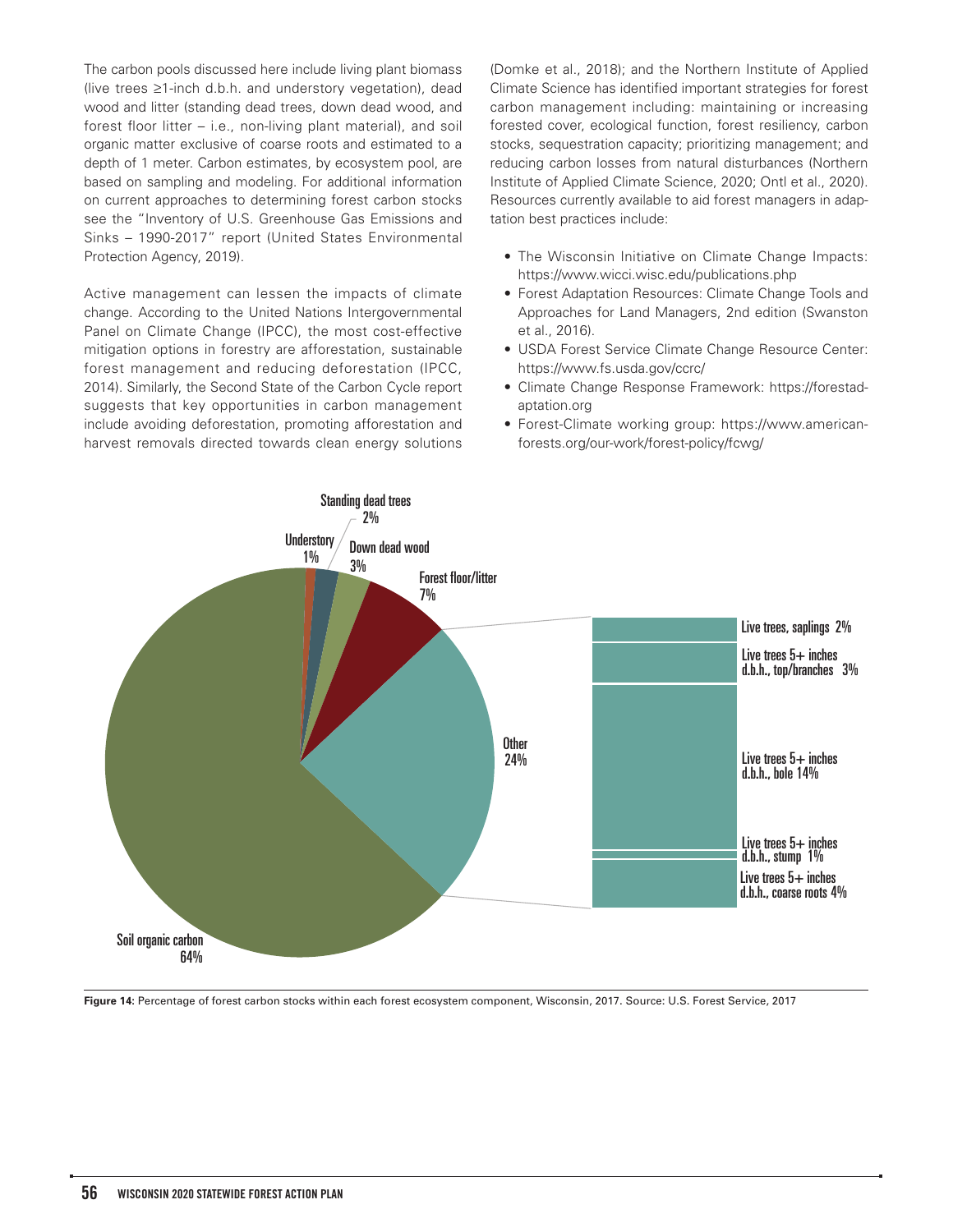The carbon pools discussed here include living plant biomass (live trees ≥1-inch d.b.h. and understory vegetation), dead wood and litter (standing dead trees, down dead wood, and forest floor litter – i.e., non-living plant material), and soil organic matter exclusive of coarse roots and estimated to a depth of 1 meter. Carbon estimates, by ecosystem pool, are based on sampling and modeling. For additional information on current approaches to determining forest carbon stocks see the "Inventory of U.S. Greenhouse Gas Emissions and Sinks – 1990-2017" report (United States Environmental Protection Agency, 2019).

Active management can lessen the impacts of climate change. According to the United Nations Intergovernmental Panel on Climate Change (IPCC), the most cost-effective mitigation options in forestry are afforestation, sustainable forest management and reducing deforestation (IPCC, 2014). Similarly, the Second State of the Carbon Cycle report suggests that key opportunities in carbon management include avoiding deforestation, promoting afforestation and harvest removals directed towards clean energy solutions

(Domke et al., 2018); and the Northern Institute of Applied Climate Science has identified important strategies for forest carbon management including: maintaining or increasing forested cover, ecological function, forest resiliency, carbon stocks, sequestration capacity; prioritizing management; and reducing carbon losses from natural disturbances (Northern Institute of Applied Climate Science, 2020; Ontl et al., 2020). Resources currently available to aid forest managers in adaptation best practices include:

- The Wisconsin Initiative on Climate Change Impacts: https://www.wicci.wisc.edu/publications.php
- Forest Adaptation Resources: Climate Change Tools and Approaches for Land Managers, 2nd edition (Swanston et al., 2016).
- USDA Forest Service Climate Change Resource Center: https://www.fs.usda.gov/ccrc/
- Climate Change Response Framework: https://forestadaptation.org
- Forest-Climate working group: https://www.americanforests.org/our-work/forest-policy/fcwg/



**Figure 14:** Percentage of forest carbon stocks within each forest ecosystem component, Wisconsin, 2017. Source: U.S. Forest Service, 2017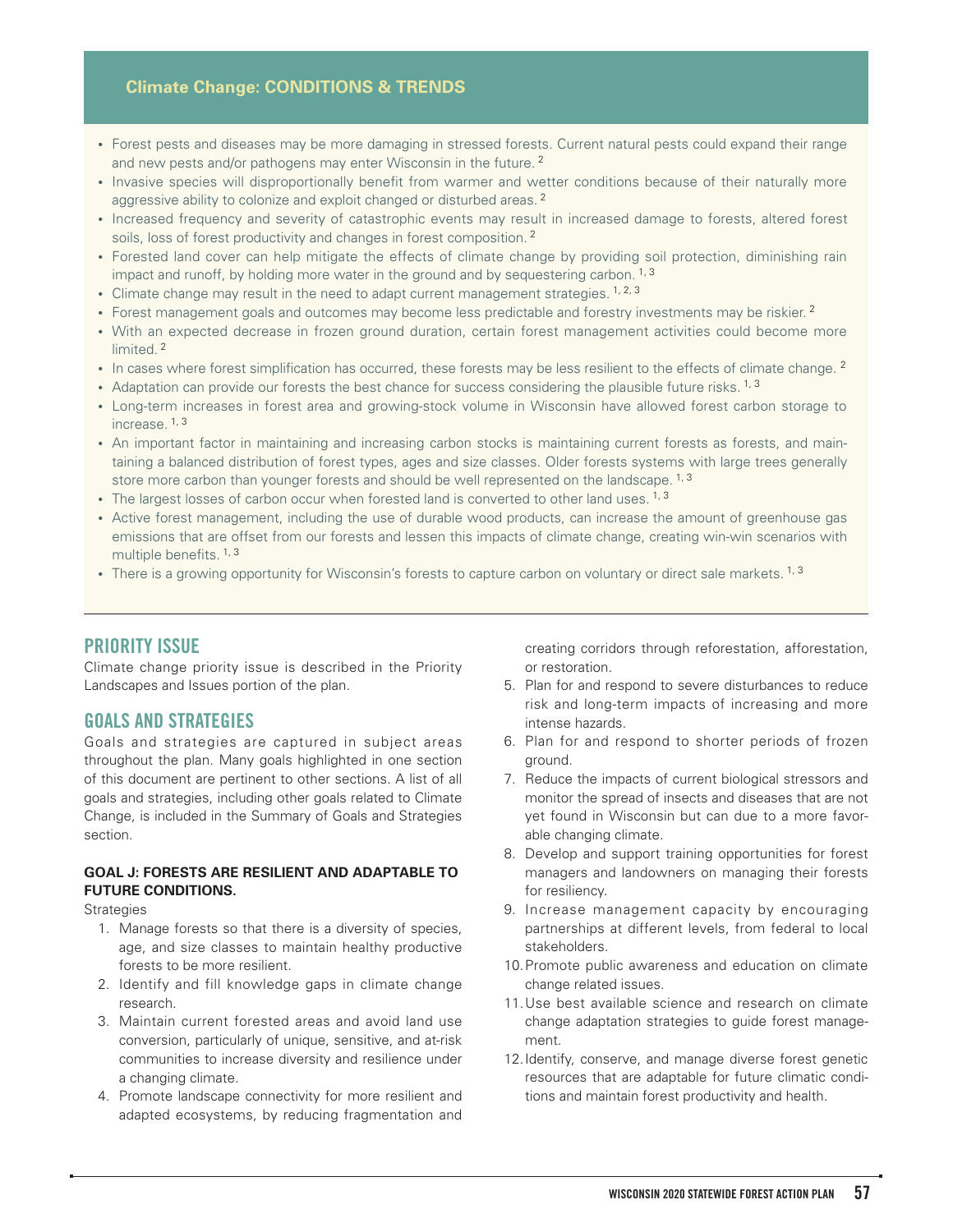# **Climate Change: CONDITIONS & TRENDS**

- **•** Forest pests and diseases may be more damaging in stressed forests. Current natural pests could expand their range and new pests and/or pathogens may enter Wisconsin in the future. 2
- **•** Invasive species will disproportionally benefit from warmer and wetter conditions because of their naturally more aggressive ability to colonize and exploit changed or disturbed areas.<sup>2</sup>
- **•** Increased frequency and severity of catastrophic events may result in increased damage to forests, altered forest soils, loss of forest productivity and changes in forest composition.<sup>2</sup>
- **•** Forested land cover can help mitigate the effects of climate change by providing soil protection, diminishing rain impact and runoff, by holding more water in the ground and by sequestering carbon.  $1<sup>3</sup>$
- Climate change may result in the need to adapt current management strategies. <sup>1, 2, 3</sup>
- **•** Forest management goals and outcomes may become less predictable and forestry investments may be riskier. 2
- **•** With an expected decrease in frozen ground duration, certain forest management activities could become more limited.<sup>2</sup>
- In cases where forest simplification has occurred, these forests may be less resilient to the effects of climate change. <sup>2</sup>
- Adaptation can provide our forests the best chance for success considering the plausible future risks. <sup>1, 3</sup>
- **•** Long-term increases in forest area and growing-stock volume in Wisconsin have allowed forest carbon storage to increase. 1, 3
- **•** An important factor in maintaining and increasing carbon stocks is maintaining current forests as forests, and maintaining a balanced distribution of forest types, ages and size classes. Older forests systems with large trees generally store more carbon than younger forests and should be well represented on the landscape.<sup>1, 3</sup>
- The largest losses of carbon occur when forested land is converted to other land uses.<sup>1, 3</sup>
- **•** Active forest management, including the use of durable wood products, can increase the amount of greenhouse gas emissions that are offset from our forests and lessen this impacts of climate change, creating win-win scenarios with multiple benefits.<sup>1, 3</sup>
- There is a growing opportunity for Wisconsin's forests to capture carbon on voluntary or direct sale markets. <sup>1, 3</sup>

## **PRIORITY ISSUE**

Climate change priority issue is described in the Priority Landscapes and Issues portion of the plan.

# **GOALS AND STRATEGIES**

Goals and strategies are captured in subject areas throughout the plan. Many goals highlighted in one section of this document are pertinent to other sections. A list of all goals and strategies, including other goals related to Climate Change, is included in the Summary of Goals and Strategies section.

## **GOAL J: FORESTS ARE RESILIENT AND ADAPTABLE TO FUTURE CONDITIONS.**

**Strategies** 

- 1. Manage forests so that there is a diversity of species, age, and size classes to maintain healthy productive forests to be more resilient.
- 2. Identify and fill knowledge gaps in climate change research.
- 3. Maintain current forested areas and avoid land use conversion, particularly of unique, sensitive, and at-risk communities to increase diversity and resilience under a changing climate.
- 4. Promote landscape connectivity for more resilient and adapted ecosystems, by reducing fragmentation and

creating corridors through reforestation, afforestation, or restoration.

- 5. Plan for and respond to severe disturbances to reduce risk and long-term impacts of increasing and more intense hazards.
- 6. Plan for and respond to shorter periods of frozen ground.
- 7. Reduce the impacts of current biological stressors and monitor the spread of insects and diseases that are not yet found in Wisconsin but can due to a more favorable changing climate.
- 8. Develop and support training opportunities for forest managers and landowners on managing their forests for resiliency.
- 9. Increase management capacity by encouraging partnerships at different levels, from federal to local stakeholders.
- 10.Promote public awareness and education on climate change related issues.
- 11.Use best available science and research on climate change adaptation strategies to guide forest management.
- 12.Identify, conserve, and manage diverse forest genetic resources that are adaptable for future climatic conditions and maintain forest productivity and health.